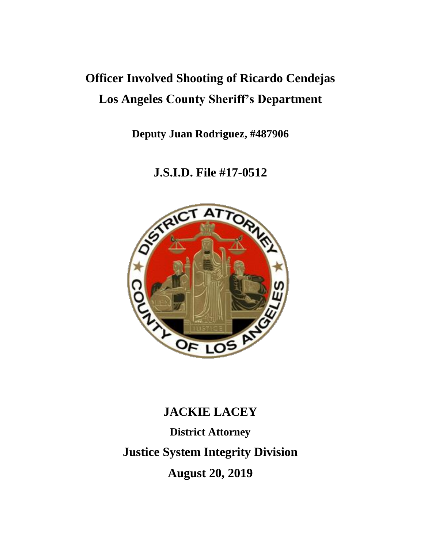# **Officer Involved Shooting of Ricardo Cendejas Los Angeles County Sheriff's Department**

**Deputy Juan Rodriguez, #487906**

**J.S.I.D. File #17-0512**



# **JACKIE LACEY**

**District Attorney Justice System Integrity Division August 20, 2019**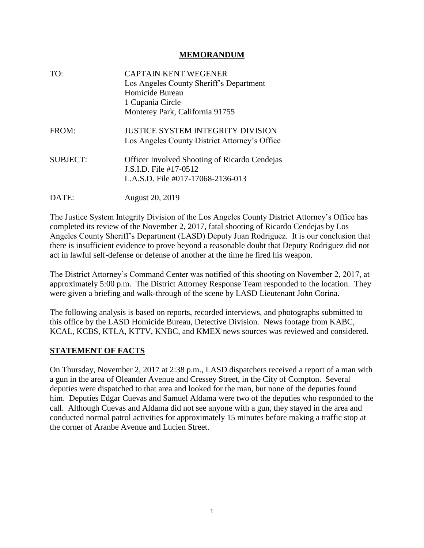#### **MEMORANDUM**

| TO:             | <b>CAPTAIN KENT WEGENER</b><br>Los Angeles County Sheriff's Department<br>Homicide Bureau<br>1 Cupania Circle       |
|-----------------|---------------------------------------------------------------------------------------------------------------------|
|                 | Monterey Park, California 91755                                                                                     |
| FROM:           | <b>JUSTICE SYSTEM INTEGRITY DIVISION</b><br>Los Angeles County District Attorney's Office                           |
| <b>SUBJECT:</b> | <b>Officer Involved Shooting of Ricardo Cendejas</b><br>J.S.I.D. File #17-0512<br>L.A.S.D. File #017-17068-2136-013 |
| DATE:           | <b>August 20, 2019</b>                                                                                              |

The Justice System Integrity Division of the Los Angeles County District Attorney's Office has completed its review of the November 2, 2017, fatal shooting of Ricardo Cendejas by Los Angeles County Sheriff's Department (LASD) Deputy Juan Rodriguez. It is our conclusion that there is insufficient evidence to prove beyond a reasonable doubt that Deputy Rodriguez did not act in lawful self-defense or defense of another at the time he fired his weapon.

The District Attorney's Command Center was notified of this shooting on November 2, 2017, at approximately 5:00 p.m. The District Attorney Response Team responded to the location. They were given a briefing and walk-through of the scene by LASD Lieutenant John Corina.

The following analysis is based on reports, recorded interviews, and photographs submitted to this office by the LASD Homicide Bureau, Detective Division. News footage from KABC, KCAL, KCBS, KTLA, KTTV, KNBC, and KMEX news sources was reviewed and considered.

#### **STATEMENT OF FACTS**

On Thursday, November 2, 2017 at 2:38 p.m., LASD dispatchers received a report of a man with a gun in the area of Oleander Avenue and Cressey Street, in the City of Compton. Several deputies were dispatched to that area and looked for the man, but none of the deputies found him. Deputies Edgar Cuevas and Samuel Aldama were two of the deputies who responded to the call. Although Cuevas and Aldama did not see anyone with a gun, they stayed in the area and conducted normal patrol activities for approximately 15 minutes before making a traffic stop at the corner of Aranbe Avenue and Lucien Street.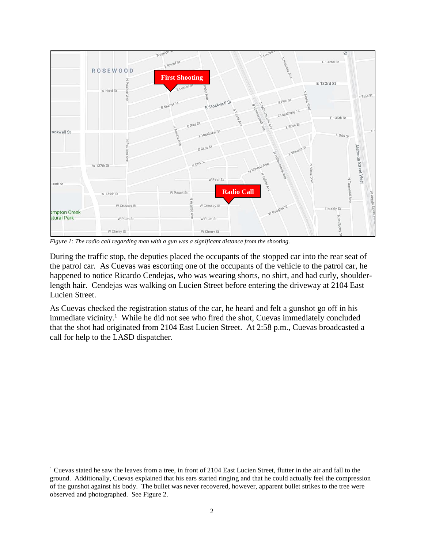

*Figure 1: The radio call regarding man with a gun was a significant distance from the shooting.*

During the traffic stop, the deputies placed the occupants of the stopped car into the rear seat of the patrol car. As Cuevas was escorting one of the occupants of the vehicle to the patrol car, he happened to notice Ricardo Cendejas, who was wearing shorts, no shirt, and had curly, shoulderlength hair. Cendejas was walking on Lucien Street before entering the driveway at 2104 East Lucien Street.

As Cuevas checked the registration status of the car, he heard and felt a gunshot go off in his immediate vicinity.<sup>1</sup> While he did not see who fired the shot, Cuevas immediately concluded that the shot had originated from 2104 East Lucien Street. At 2:58 p.m., Cuevas broadcasted a call for help to the LASD dispatcher.

 $\overline{a}$ 

<sup>&</sup>lt;sup>1</sup> Cuevas stated he saw the leaves from a tree, in front of 2104 East Lucien Street, flutter in the air and fall to the ground. Additionally, Cuevas explained that his ears started ringing and that he could actually feel the compression of the gunshot against his body. The bullet was never recovered, however, apparent bullet strikes to the tree were observed and photographed. See Figure 2.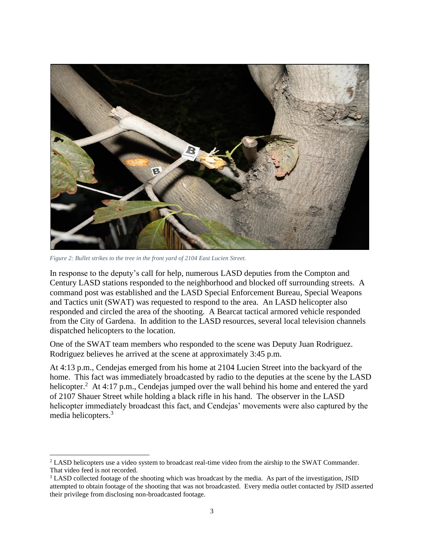

*Figure 2: Bullet strikes to the tree in the front yard of 2104 East Lucien Street.*

 $\overline{a}$ 

In response to the deputy's call for help, numerous LASD deputies from the Compton and Century LASD stations responded to the neighborhood and blocked off surrounding streets. A command post was established and the LASD Special Enforcement Bureau, Special Weapons and Tactics unit (SWAT) was requested to respond to the area. An LASD helicopter also responded and circled the area of the shooting. A Bearcat tactical armored vehicle responded from the City of Gardena. In addition to the LASD resources, several local television channels dispatched helicopters to the location.

One of the SWAT team members who responded to the scene was Deputy Juan Rodriguez. Rodriguez believes he arrived at the scene at approximately 3:45 p.m.

At 4:13 p.m., Cendejas emerged from his home at 2104 Lucien Street into the backyard of the home. This fact was immediately broadcasted by radio to the deputies at the scene by the LASD helicopter.<sup>2</sup> At 4:17 p.m., Cendejas jumped over the wall behind his home and entered the yard of 2107 Shauer Street while holding a black rifle in his hand. The observer in the LASD helicopter immediately broadcast this fact, and Cendejas' movements were also captured by the media helicopters.<sup>3</sup>

<sup>&</sup>lt;sup>2</sup> LASD helicopters use a video system to broadcast real-time video from the airship to the SWAT Commander. That video feed is not recorded.

<sup>&</sup>lt;sup>3</sup> LASD collected footage of the shooting which was broadcast by the media. As part of the investigation, JSID attempted to obtain footage of the shooting that was not broadcasted. Every media outlet contacted by JSID asserted their privilege from disclosing non-broadcasted footage.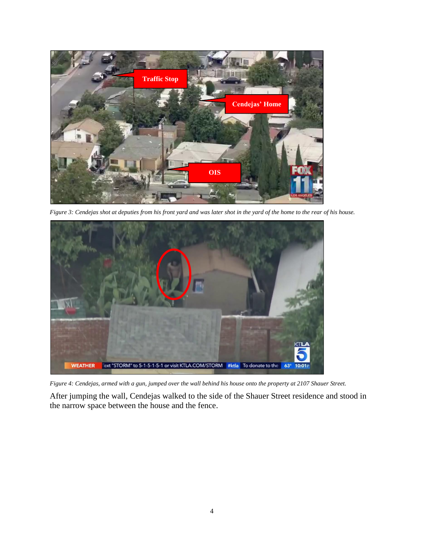

*Figure 3: Cendejas shot at deputies from his front yard and was later shot in the yard of the home to the rear of his house.*



*Figure 4: Cendejas, armed with a gun, jumped over the wall behind his house onto the property at 2107 Shauer Street.*

After jumping the wall, Cendejas walked to the side of the Shauer Street residence and stood in the narrow space between the house and the fence.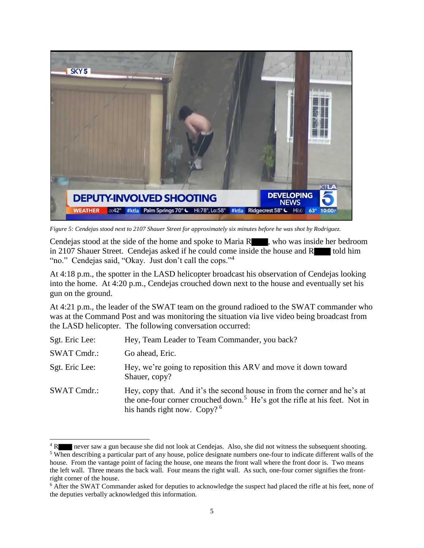

*Figure 5: Cendejas stood next to 2107 Shauer Street for approximately six minutes before he was shot by Rodriguez.*

Cendejas stood at the side of the home and spoke to Maria  $R_{\text{max}}$ , who was inside her bedroom in 2107 Shauer Street. Cendejas asked if he could come inside the house and R told him "no." Cendejas said, "Okay. Just don't call the cops."<sup>4</sup>

At 4:18 p.m., the spotter in the LASD helicopter broadcast his observation of Cendejas looking into the home. At 4:20 p.m., Cendejas crouched down next to the house and eventually set his gun on the ground.

At 4:21 p.m., the leader of the SWAT team on the ground radioed to the SWAT commander who was at the Command Post and was monitoring the situation via live video being broadcast from the LASD helicopter. The following conversation occurred:

| Sgt. Eric Lee:     | Hey, Team Leader to Team Commander, you back?                                                                                                                                                        |
|--------------------|------------------------------------------------------------------------------------------------------------------------------------------------------------------------------------------------------|
| <b>SWAT Cmdr.:</b> | Go ahead, Eric.                                                                                                                                                                                      |
| Sgt. Eric Lee:     | Hey, we're going to reposition this ARV and move it down toward<br>Shauer, copy?                                                                                                                     |
| <b>SWAT Cmdr.:</b> | Hey, copy that. And it's the second house in from the corner and he's at<br>the one-four corner crouched down. <sup>5</sup> He's got the rifle at his feet. Not in<br>his hands right now. Copy? $6$ |

<sup>&</sup>lt;sup>4</sup> R never saw a gun because she did not look at Cendejas. Also, she did not witness the subsequent shooting. <sup>5</sup> When describing a particular part of any house, police designate numbers one-four to indicate different walls of the house. From the vantage point of facing the house, one means the front wall where the front door is. Two means the left wall. Three means the back wall. Four means the right wall. As such, one-four corner signifies the frontright corner of the house.

<sup>&</sup>lt;sup>6</sup> After the SWAT Commander asked for deputies to acknowledge the suspect had placed the rifle at his feet, none of the deputies verbally acknowledged this information.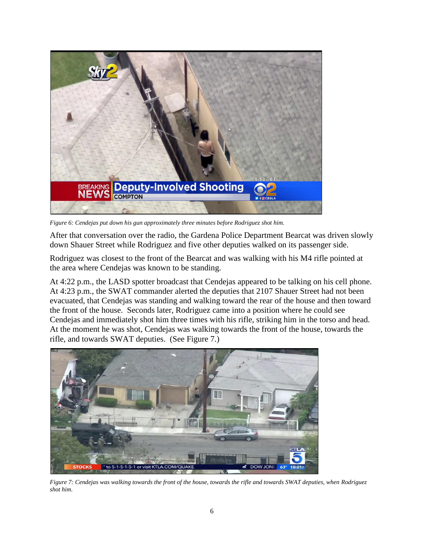

*Figure 6: Cendejas put down his gun approximately three minutes before Rodriguez shot him.*

After that conversation over the radio, the Gardena Police Department Bearcat was driven slowly down Shauer Street while Rodriguez and five other deputies walked on its passenger side.

Rodriguez was closest to the front of the Bearcat and was walking with his M4 rifle pointed at the area where Cendejas was known to be standing.

At 4:22 p.m., the LASD spotter broadcast that Cendejas appeared to be talking on his cell phone. At 4:23 p.m., the SWAT commander alerted the deputies that 2107 Shauer Street had not been evacuated, that Cendejas was standing and walking toward the rear of the house and then toward the front of the house. Seconds later, Rodriguez came into a position where he could see Cendejas and immediately shot him three times with his rifle, striking him in the torso and head. At the moment he was shot, Cendejas was walking towards the front of the house, towards the rifle, and towards SWAT deputies. (See Figure 7.)



*Figure 7: Cendejas was walking towards the front of the house, towards the rifle and towards SWAT deputies, when Rodriguez shot him.*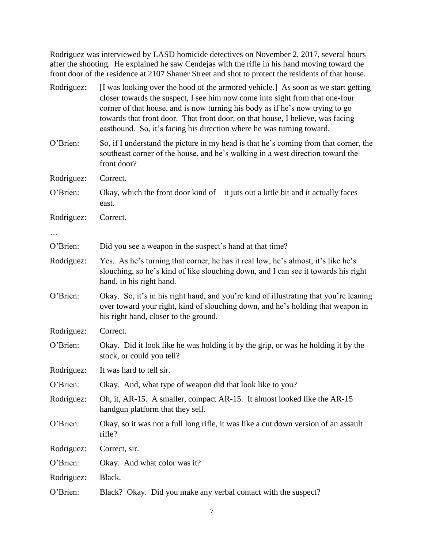Rodriguez was interviewed by LASD homicide detectives on November 2, 2017, several hours after the shooting. He explained he saw Cendejas with the rifle in his hand moving toward the front door of the residence at 2107 Shauer Street and shot to protect the residents of that house.

| Rodriguez: | [I was looking over the hood of the armored vehicle.] As soon as we start getting<br>closer towards the suspect, I see him now come into sight from that one-four<br>corner of that house, and is now turning his body as if he's now trying to go<br>towards that front door. That front door, on that house, I believe, was facing<br>eastbound. So, it's facing his direction where he was turning toward. |
|------------|---------------------------------------------------------------------------------------------------------------------------------------------------------------------------------------------------------------------------------------------------------------------------------------------------------------------------------------------------------------------------------------------------------------|
| O'Brien:   | So, if I understand the picture in my head is that he's coming from that corner, the<br>southeast corner of the house, and he's walking in a west direction toward the<br>front door?                                                                                                                                                                                                                         |
| Rodriguez: | Correct.                                                                                                                                                                                                                                                                                                                                                                                                      |
| O'Brien:   | Okay, which the front door kind of $-$ it juts out a little bit and it actually faces<br>east.                                                                                                                                                                                                                                                                                                                |
| Rodriguez: | Correct.                                                                                                                                                                                                                                                                                                                                                                                                      |
|            |                                                                                                                                                                                                                                                                                                                                                                                                               |
| O'Brien:   | Did you see a weapon in the suspect's hand at that time?                                                                                                                                                                                                                                                                                                                                                      |
| Rodriguez: | Yes. As he's turning that corner, he has it real low, he's almost, it's like he's<br>slouching, so he's kind of like slouching down, and I can see it towards his right<br>hand, in his right hand.                                                                                                                                                                                                           |
| O'Brien:   | Okay. So, it's in his right hand, and you're kind of illustrating that you're leaning<br>over toward your right, kind of slouching down, and he's holding that weapon in<br>his right hand, closer to the ground.                                                                                                                                                                                             |
| Rodriguez: | Correct.                                                                                                                                                                                                                                                                                                                                                                                                      |
| O'Brien:   | Okay. Did it look like he was holding it by the grip, or was he holding it by the<br>stock, or could you tell?                                                                                                                                                                                                                                                                                                |
| Rodriguez: | It was hard to tell sir.                                                                                                                                                                                                                                                                                                                                                                                      |
| O'Brien:   | Okay. And, what type of weapon did that look like to you?                                                                                                                                                                                                                                                                                                                                                     |
| Rodriguez: | Oh, it, AR-15. A smaller, compact AR-15. It almost looked like the AR-15<br>handgun platform that they sell.                                                                                                                                                                                                                                                                                                  |
| O'Brien:   | Okay, so it was not a full long rifle, it was like a cut down version of an assault<br>rifle?                                                                                                                                                                                                                                                                                                                 |
| Rodriguez: | Correct, sir.                                                                                                                                                                                                                                                                                                                                                                                                 |
| O'Brien:   | Okay. And what color was it?                                                                                                                                                                                                                                                                                                                                                                                  |
| Rodriguez: | Black.                                                                                                                                                                                                                                                                                                                                                                                                        |
| O'Brien:   | Black? Okay. Did you make any verbal contact with the suspect?                                                                                                                                                                                                                                                                                                                                                |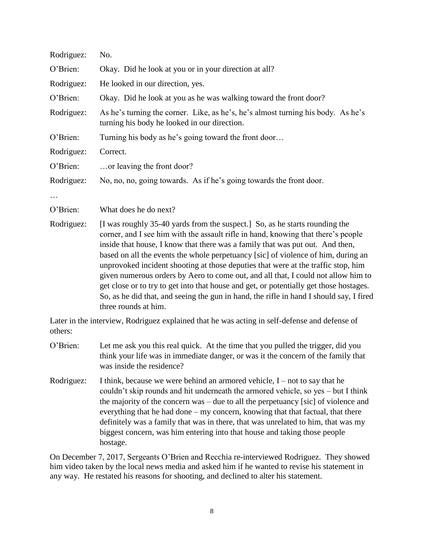| Rodriguez: | No.                                                                                                                                                                                                                                                                                                                                                                                                                                                                                                                                                                                                       |
|------------|-----------------------------------------------------------------------------------------------------------------------------------------------------------------------------------------------------------------------------------------------------------------------------------------------------------------------------------------------------------------------------------------------------------------------------------------------------------------------------------------------------------------------------------------------------------------------------------------------------------|
| O'Brien:   | Okay. Did he look at you or in your direction at all?                                                                                                                                                                                                                                                                                                                                                                                                                                                                                                                                                     |
| Rodriguez: | He looked in our direction, yes.                                                                                                                                                                                                                                                                                                                                                                                                                                                                                                                                                                          |
| O'Brien:   | Okay. Did he look at you as he was walking toward the front door?                                                                                                                                                                                                                                                                                                                                                                                                                                                                                                                                         |
| Rodriguez: | As he's turning the corner. Like, as he's, he's almost turning his body. As he's<br>turning his body he looked in our direction.                                                                                                                                                                                                                                                                                                                                                                                                                                                                          |
| O'Brien:   | Turning his body as he's going toward the front door                                                                                                                                                                                                                                                                                                                                                                                                                                                                                                                                                      |
| Rodriguez: | Correct.                                                                                                                                                                                                                                                                                                                                                                                                                                                                                                                                                                                                  |
| O'Brien:   | or leaving the front door?                                                                                                                                                                                                                                                                                                                                                                                                                                                                                                                                                                                |
| Rodriguez: | No, no, no, going towards. As if he's going towards the front door.                                                                                                                                                                                                                                                                                                                                                                                                                                                                                                                                       |
|            |                                                                                                                                                                                                                                                                                                                                                                                                                                                                                                                                                                                                           |
| O'Brien:   | What does he do next?                                                                                                                                                                                                                                                                                                                                                                                                                                                                                                                                                                                     |
| Rodriguez: | [I was roughly 35-40 yards from the suspect.] So, as he starts rounding the<br>corner, and I see him with the assault rifle in hand, knowing that there's people<br>inside that house, I know that there was a family that was put out. And then,<br>based on all the events the whole perpetuancy [sic] of violence of him, during an<br>unprovoked incident shooting at those deputies that were at the traffic stop, him<br>given numerous orders by Aero to come out, and all that, I could not allow him to<br>oot aloee on to twy to get into that house and get on notantially get those hosteges. |

get close or to try to get into that house and get, or potentially get those hostages. So, as he did that, and seeing the gun in hand, the rifle in hand I should say, I fired three rounds at him.

Later in the interview, Rodriguez explained that he was acting in self-defense and defense of others:

- O'Brien: Let me ask you this real quick. At the time that you pulled the trigger, did you think your life was in immediate danger, or was it the concern of the family that was inside the residence?
- Rodriguez: I think, because we were behind an armored vehicle,  $I$  not to say that he couldn't skip rounds and hit underneath the armored vehicle, so yes – but I think the majority of the concern was – due to all the perpetuancy [sic] of violence and everything that he had done – my concern, knowing that that factual, that there definitely was a family that was in there, that was unrelated to him, that was my biggest concern, was him entering into that house and taking those people hostage.

On December 7, 2017, Sergeants O'Brien and Recchia re-interviewed Rodriguez. They showed him video taken by the local news media and asked him if he wanted to revise his statement in any way. He restated his reasons for shooting, and declined to alter his statement.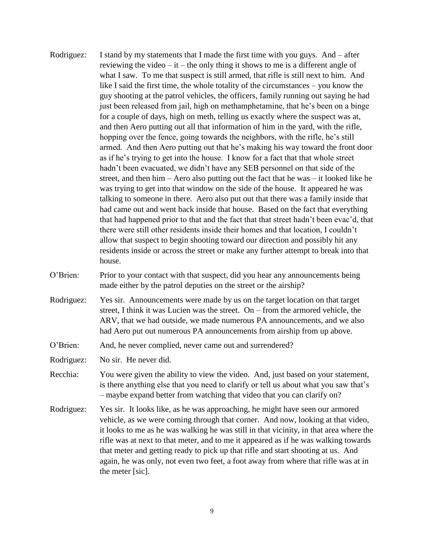- Rodriguez: I stand by my statements that I made the first time with you guys. And after reviewing the video – it – the only thing it shows to me is a different angle of what I saw. To me that suspect is still armed, that rifle is still next to him. And like I said the first time, the whole totality of the circumstances – you know the guy shooting at the patrol vehicles, the officers, family running out saying he had just been released from jail, high on methamphetamine, that he's been on a binge for a couple of days, high on meth, telling us exactly where the suspect was at, and then Aero putting out all that information of him in the yard, with the rifle, hopping over the fence, going towards the neighbors, with the rifle, he's still armed. And then Aero putting out that he's making his way toward the front door as if he's trying to get into the house. I know for a fact that that whole street hadn't been evacuated, we didn't have any SEB personnel on that side of the street, and then him – Aero also putting out the fact that he was – it looked like he was trying to get into that window on the side of the house. It appeared he was talking to someone in there. Aero also put out that there was a family inside that had came out and went back inside that house. Based on the fact that everything that had happened prior to that and the fact that that street hadn't been evac'd, that there were still other residents inside their homes and that location, I couldn't allow that suspect to begin shooting toward our direction and possibly hit any residents inside or across the street or make any further attempt to break into that house.
- O'Brien: Prior to your contact with that suspect, did you hear any announcements being made either by the patrol deputies on the street or the airship?
- Rodriguez: Yes sir. Announcements were made by us on the target location on that target street, I think it was Lucien was the street. On – from the armored vehicle, the ARV, that we had outside, we made numerous PA announcements, and we also had Aero put out numerous PA announcements from airship from up above.
- O'Brien: And, he never complied, never came out and surrendered?
- Rodriguez: No sir. He never did.
- Recchia: You were given the ability to view the video. And, just based on your statement, is there anything else that you need to clarify or tell us about what you saw that's – maybe expand better from watching that video that you can clarify on?
- Rodriguez: Yes sir. It looks like, as he was approaching, he might have seen our armored vehicle, as we were coming through that corner. And now, looking at that video, it looks to me as he was walking he was still in that vicinity, in that area where the rifle was at next to that meter, and to me it appeared as if he was walking towards that meter and getting ready to pick up that rifle and start shooting at us. And again, he was only, not even two feet, a foot away from where that rifle was at in the meter [sic].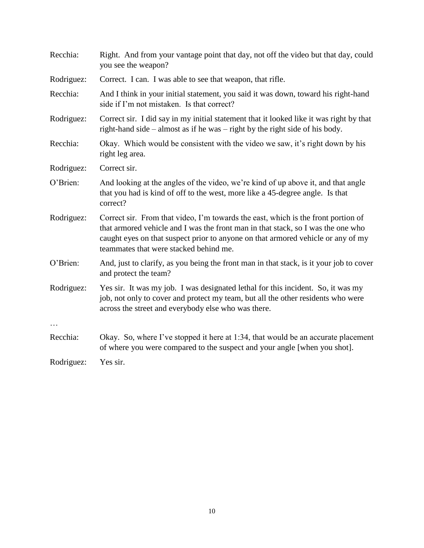| Recchia:   | Right. And from your vantage point that day, not off the video but that day, could<br>you see the weapon?                                                                                                                                                                                           |
|------------|-----------------------------------------------------------------------------------------------------------------------------------------------------------------------------------------------------------------------------------------------------------------------------------------------------|
| Rodriguez: | Correct. I can. I was able to see that weapon, that rifle.                                                                                                                                                                                                                                          |
| Recchia:   | And I think in your initial statement, you said it was down, toward his right-hand<br>side if I'm not mistaken. Is that correct?                                                                                                                                                                    |
| Rodriguez: | Correct sir. I did say in my initial statement that it looked like it was right by that<br>right-hand side – almost as if he was – right by the right side of his body.                                                                                                                             |
| Recchia:   | Okay. Which would be consistent with the video we saw, it's right down by his<br>right leg area.                                                                                                                                                                                                    |
| Rodriguez: | Correct sir.                                                                                                                                                                                                                                                                                        |
| O'Brien:   | And looking at the angles of the video, we're kind of up above it, and that angle<br>that you had is kind of off to the west, more like a 45-degree angle. Is that<br>correct?                                                                                                                      |
| Rodriguez: | Correct sir. From that video, I'm towards the east, which is the front portion of<br>that armored vehicle and I was the front man in that stack, so I was the one who<br>caught eyes on that suspect prior to anyone on that armored vehicle or any of my<br>teammates that were stacked behind me. |
| O'Brien:   | And, just to clarify, as you being the front man in that stack, is it your job to cover<br>and protect the team?                                                                                                                                                                                    |
| Rodriguez: | Yes sir. It was my job. I was designated lethal for this incident. So, it was my<br>job, not only to cover and protect my team, but all the other residents who were<br>across the street and everybody else who was there.                                                                         |
|            |                                                                                                                                                                                                                                                                                                     |
| Recchia:   | Okay. So, where I've stopped it here at 1:34, that would be an accurate placement<br>of where you were compared to the suspect and your angle [when you shot].                                                                                                                                      |
| Rodriguez: | Yes sir.                                                                                                                                                                                                                                                                                            |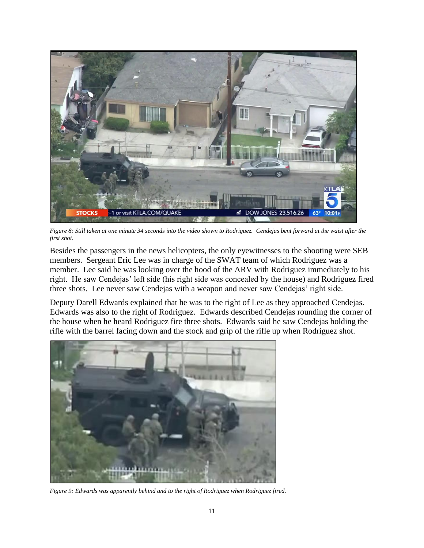

*Figure 8: Still taken at one minute 34 seconds into the video shown to Rodriguez. Cendejas bent forward at the waist after the first shot.*

Besides the passengers in the news helicopters, the only eyewitnesses to the shooting were SEB members. Sergeant Eric Lee was in charge of the SWAT team of which Rodriguez was a member. Lee said he was looking over the hood of the ARV with Rodriguez immediately to his right. He saw Cendejas' left side (his right side was concealed by the house) and Rodriguez fired three shots. Lee never saw Cendejas with a weapon and never saw Cendejas' right side.

Deputy Darell Edwards explained that he was to the right of Lee as they approached Cendejas. Edwards was also to the right of Rodriguez. Edwards described Cendejas rounding the corner of the house when he heard Rodriguez fire three shots. Edwards said he saw Cendejas holding the rifle with the barrel facing down and the stock and grip of the rifle up when Rodriguez shot.



*Figure 9: Edwards was apparently behind and to the right of Rodriguez when Rodriguez fired.*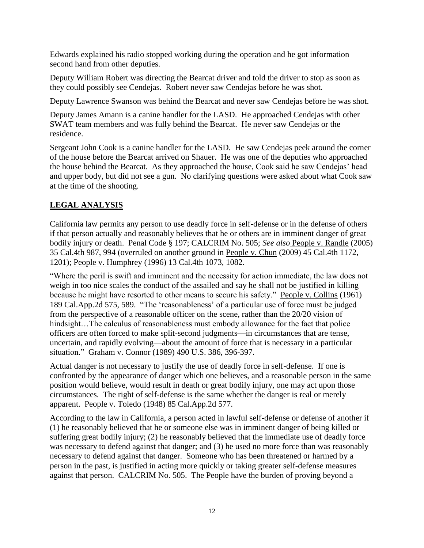Edwards explained his radio stopped working during the operation and he got information second hand from other deputies.

Deputy William Robert was directing the Bearcat driver and told the driver to stop as soon as they could possibly see Cendejas. Robert never saw Cendejas before he was shot.

Deputy Lawrence Swanson was behind the Bearcat and never saw Cendejas before he was shot.

Deputy James Amann is a canine handler for the LASD. He approached Cendejas with other SWAT team members and was fully behind the Bearcat. He never saw Cendejas or the residence.

Sergeant John Cook is a canine handler for the LASD. He saw Cendejas peek around the corner of the house before the Bearcat arrived on Shauer. He was one of the deputies who approached the house behind the Bearcat. As they approached the house, Cook said he saw Cendejas' head and upper body, but did not see a gun. No clarifying questions were asked about what Cook saw at the time of the shooting.

## **LEGAL ANALYSIS**

California law permits any person to use deadly force in self-defense or in the defense of others if that person actually and reasonably believes that he or others are in imminent danger of great bodily injury or death. Penal Code § 197; CALCRIM No. 505; *See also* People v. Randle (2005) 35 Cal.4th 987, 994 (overruled on another ground in People v. Chun (2009) 45 Cal.4th 1172, 1201); People v. Humphrey (1996) 13 Cal.4th 1073, 1082.

"Where the peril is swift and imminent and the necessity for action immediate, the law does not weigh in too nice scales the conduct of the assailed and say he shall not be justified in killing because he might have resorted to other means to secure his safety." People v. Collins (1961) 189 Cal.App.2d 575, 589. "The 'reasonableness' of a particular use of force must be judged from the perspective of a reasonable officer on the scene, rather than the 20/20 vision of hindsight...The calculus of reasonableness must embody allowance for the fact that police officers are often forced to make split-second judgments—in circumstances that are tense, uncertain, and rapidly evolving—about the amount of force that is necessary in a particular situation." Graham v. Connor (1989) 490 U.S. 386, 396-397.

Actual danger is not necessary to justify the use of deadly force in self-defense. If one is confronted by the appearance of danger which one believes, and a reasonable person in the same position would believe, would result in death or great bodily injury, one may act upon those circumstances. The right of self-defense is the same whether the danger is real or merely apparent. People v. Toledo (1948) 85 Cal.App.2d 577.

According to the law in California, a person acted in lawful self-defense or defense of another if (1) he reasonably believed that he or someone else was in imminent danger of being killed or suffering great bodily injury; (2) he reasonably believed that the immediate use of deadly force was necessary to defend against that danger; and (3) he used no more force than was reasonably necessary to defend against that danger. Someone who has been threatened or harmed by a person in the past, is justified in acting more quickly or taking greater self-defense measures against that person. CALCRIM No. 505. The People have the burden of proving beyond a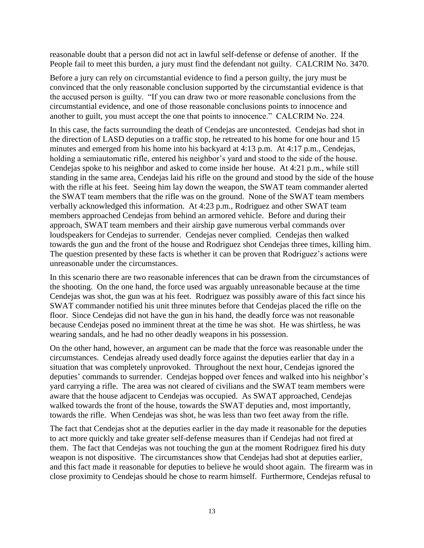reasonable doubt that a person did not act in lawful self-defense or defense of another. If the People fail to meet this burden, a jury must find the defendant not guilty. CALCRIM No. 3470.

Before a jury can rely on circumstantial evidence to find a person guilty, the jury must be convinced that the only reasonable conclusion supported by the circumstantial evidence is that the accused person is guilty. "If you can draw two or more reasonable conclusions from the circumstantial evidence, and one of those reasonable conclusions points to innocence and another to guilt, you must accept the one that points to innocence." CALCRIM No. 224.

In this case, the facts surrounding the death of Cendejas are uncontested. Cendejas had shot in the direction of LASD deputies on a traffic stop, he retreated to his home for one hour and 15 minutes and emerged from his home into his backyard at 4:13 p.m. At 4:17 p.m., Cendejas, holding a semiautomatic rifle, entered his neighbor's yard and stood to the side of the house. Cendejas spoke to his neighbor and asked to come inside her house. At 4:21 p.m., while still standing in the same area, Cendejas laid his rifle on the ground and stood by the side of the house with the rifle at his feet. Seeing him lay down the weapon, the SWAT team commander alerted the SWAT team members that the rifle was on the ground. None of the SWAT team members verbally acknowledged this information. At 4:23 p.m., Rodriguez and other SWAT team members approached Cendejas from behind an armored vehicle. Before and during their approach, SWAT team members and their airship gave numerous verbal commands over loudspeakers for Cendejas to surrender. Cendejas never complied. Cendejas then walked towards the gun and the front of the house and Rodriguez shot Cendejas three times, killing him. The question presented by these facts is whether it can be proven that Rodriguez's actions were unreasonable under the circumstances.

In this scenario there are two reasonable inferences that can be drawn from the circumstances of the shooting. On the one hand, the force used was arguably unreasonable because at the time Cendejas was shot, the gun was at his feet. Rodriguez was possibly aware of this fact since his SWAT commander notified his unit three minutes before that Cendejas placed the rifle on the floor. Since Cendejas did not have the gun in his hand, the deadly force was not reasonable because Cendejas posed no imminent threat at the time he was shot. He was shirtless, he was wearing sandals, and he had no other deadly weapons in his possession.

On the other hand, however, an argument can be made that the force was reasonable under the circumstances. Cendejas already used deadly force against the deputies earlier that day in a situation that was completely unprovoked. Throughout the next hour, Cendejas ignored the deputies' commands to surrender. Cendejas hopped over fences and walked into his neighbor's yard carrying a rifle. The area was not cleared of civilians and the SWAT team members were aware that the house adjacent to Cendejas was occupied. As SWAT approached, Cendejas walked towards the front of the house, towards the SWAT deputies and, most importantly, towards the rifle. When Cendejas was shot, he was less than two feet away from the rifle.

The fact that Cendejas shot at the deputies earlier in the day made it reasonable for the deputies to act more quickly and take greater self-defense measures than if Cendejas had not fired at them. The fact that Cendejas was not touching the gun at the moment Rodriguez fired his duty weapon is not dispositive. The circumstances show that Cendejas had shot at deputies earlier, and this fact made it reasonable for deputies to believe he would shoot again. The firearm was in close proximity to Cendejas should he chose to rearm himself. Furthermore, Cendejas refusal to